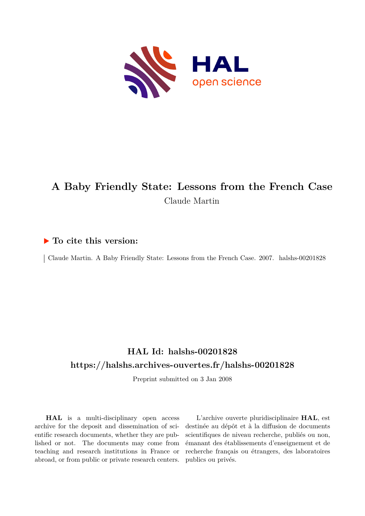

# **A Baby Friendly State: Lessons from the French Case** Claude Martin

## **To cite this version:**

| Claude Martin. A Baby Friendly State: Lessons from the French Case. 2007. halshs-00201828

# **HAL Id: halshs-00201828 <https://halshs.archives-ouvertes.fr/halshs-00201828>**

Preprint submitted on 3 Jan 2008

**HAL** is a multi-disciplinary open access archive for the deposit and dissemination of scientific research documents, whether they are published or not. The documents may come from teaching and research institutions in France or abroad, or from public or private research centers.

L'archive ouverte pluridisciplinaire **HAL**, est destinée au dépôt et à la diffusion de documents scientifiques de niveau recherche, publiés ou non, émanant des établissements d'enseignement et de recherche français ou étrangers, des laboratoires publics ou privés.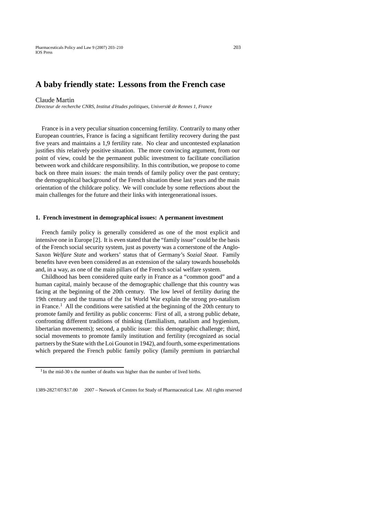### **A baby friendly state: Lessons from the French case**

#### Claude Martin

*Directeur de recherche CNRS, Institut d'etudes politiques, Universit ´ e de Rennes 1, France ´*

France is in a very peculiar situation concerning fertility. Contrarily to many other European countries, France is facing a significant fertility recovery during the past five years and maintains a 1,9 fertility rate. No clear and uncontested explanation justifies this relatively positive situation. The more convincing argument, from our point of view, could be the permanent public investment to facilitate conciliation between work and childcare responsibility. In this contribution, we propose to come back on three main issues: the main trends of family policy over the past century; the demographical background of the French situation these last years and the main orientation of the childcare policy. We will conclude by some reflections about the main challenges for the future and their links with intergenerational issues.

#### **1. French investment in demographical issues: A permanent investment**

French family policy is generally considered as one of the most explicit and intensive one in Europe [2]. It is even stated that the "family issue" could be the basis of the French social security system, just as poverty was a cornerstone of the Anglo-Saxon *Welfare State* and workers' status that of Germany's *Sozial Staat*. Family benefits have even been considered as an extension of the salary towards households and, in a way, as one of the main pillars of the French social welfare system.

Childhood has been considered quite early in France as a "common good" and a human capital, mainly because of the demographic challenge that this country was facing at the beginning of the 20th century. The low level of fertility during the 19th century and the trauma of the 1st World War explain the strong pro-natalism in France.<sup>1</sup> All the conditions were satisfied at the beginning of the 20th century to promote family and fertility as public concerns: First of all, a strong public debate, confronting different traditions of thinking (familialism, natalism and hygienism, libertarian movements); second, a public issue: this demographic challenge; third, social movements to promote family institution and fertility (recognized as social partners by the State with the Loi Gounot in 1942), and fourth, some experimentations which prepared the French public family policy (family premium in patriarchal

 $1$ In the mid-30 s the number of deaths was higher than the number of lived births.

<sup>1389-2827/07/\$17.00</sup> 2007 – Network of Centres for Study of Pharmaceutical Law. All rights reserved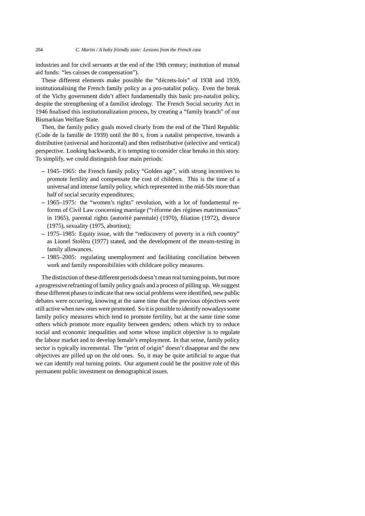industries and for civil servants at the end of the 19th century; institution of mutual aid funds: "les caisses de compensation").

These different elements make possible the "décrets-lois" of 1938 and 1939. institutionalising the French family policy as a pro-natalist policy. Even the break of the Vichy government didn't affect fundamentally this basic pro-natalist policy, despite the strengthening of a familist ideology. The French Social security Act in 1946 finalised this institutionalization process, by creating a "family branch" of our Bismarkian Welfare State.

Then, the family policy goals moved clearly from the end of the Third Republic (Code de la famille de 1939) until the 80 s, from a natalist perspective, towards a distributive (universal and horizontal) and then redistributive (selective and vertical) perspective. Looking backwards, it is tempting to consider clear breaks in this story. To simplify, we could distinguish four main periods:

- **–** 1945–1965: the French family policy "Golden age", with strong incentives to promote fertility and compensate the cost of children. This is the time of a universal and intense family policy, which represented in the mid-50s more than half of social security expenditures;
- **–** 1965–1975: the "women's rights" revolution, with a lot of fundamental reforms of Civil Law concerning marriage ("réforme des régimes matrimoniaux" in 1965), parental rights (autorité parentale) (1970), filiation (1972), divorce (1975), sexuality (1975, abortion);
- **–** 1975–1985: Equity issue, with the "rediscovery of poverty in a rich country" as Lionel Stoleru (1977) stated, and the development of the means-testing in ´ family allowances.
- **–** 1985–2005: regulating unemployment and facilitating conciliation between work and family responsibilities with childcare policy measures.

The distinction of these different periods doesn't mean real turning points, but more a progressive reframing of family policy goals and a process of pilling up. We suggest these different phases to indicate that new social problems were identified, new public debates were occurring, knowing at the same time that the previous objectives were still active when new ones were promoted. So it is possible to identify nowadays some family policy measures which tend to promote fertility, but at the same time some others which promote more equality between genders; others which try to reduce social and economic inequalities and some whose implicit objective is to regulate the labour market and to develop female's employment. In that sense, family policy sector is typically incremental. The "print of origin" doesn't disappear and the new objectives are pilled up on the old ones. So, it may be quite artificial to argue that we can identify real turning points. Our argument could be the positive role of this permanent public investment on demographical issues.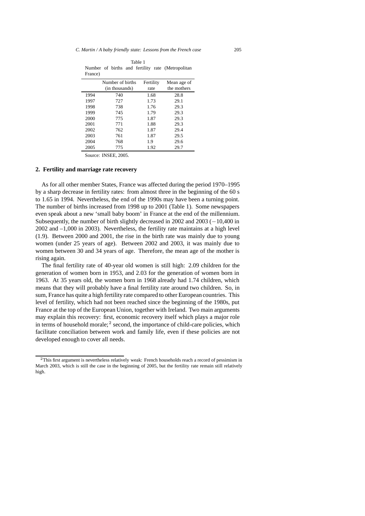| Table 1 |  |  |  |  |  |                                                   |  |  |
|---------|--|--|--|--|--|---------------------------------------------------|--|--|
|         |  |  |  |  |  | Number of births and fertility rate (Metropolitan |  |  |
| France) |  |  |  |  |  |                                                   |  |  |

|      | Number of births<br>(in thousands) | Fertility<br>rate | Mean age of<br>the mothers |
|------|------------------------------------|-------------------|----------------------------|
| 1994 | 740                                | 1.68              | 28.8                       |
| 1997 | 727                                | 1.73              | 29.1                       |
| 1998 | 738                                | 1.76              | 29.3                       |
| 1999 | 745                                | 1.79              | 29.3                       |
| 2000 | 775                                | 1.87              | 29.3                       |
| 2001 | 771                                | 1.88              | 29.3                       |
| 2002 | 762                                | 1.87              | 29.4                       |
| 2003 | 761                                | 1.87              | 29.5                       |
| 2004 | 768                                | 1.9               | 29.6                       |
| 2005 | 775                                | 1.92              | 29.7                       |

Source: INSEE, 2005.

#### **2. Fertility and marriage rate recovery**

As for all other member States, France was affected during the period 1970–1995 by a sharp decrease in fertility rates: from almost three in the beginning of the 60 s to 1.65 in 1994. Nevertheless, the end of the 1990s may have been a turning point. The number of births increased from 1998 up to 2001 (Table 1). Some newspapers even speak about a new 'small baby boom' in France at the end of the millennium. Subsequently, the number of birth slightly decreased in 2002 and 2003 (*−*10,400 in 2002 and –1,000 in 2003). Nevertheless, the fertility rate maintains at a high level (1.9). Between 2000 and 2001, the rise in the birth rate was mainly due to young women (under 25 years of age). Between 2002 and 2003, it was mainly due to women between 30 and 34 years of age. Therefore, the mean age of the mother is rising again.

The final fertility rate of 40-year old women is still high: 2.09 children for the generation of women born in 1953, and 2.03 for the generation of women born in 1963. At 35 years old, the women born in 1968 already had 1.74 children, which means that they will probably have a final fertility rate around two children. So, in sum, France has quite a high fertility rate compared to other European countries. This level of fertility, which had not been reached since the beginning of the 1980s, put France at the top of the European Union, together with Ireland. Two main arguments may explain this recovery: first, economic recovery itself which plays a major role in terms of household morale; $<sup>2</sup>$  second, the importance of child-care policies, which</sup> facilitate conciliation between work and family life, even if these policies are not developed enough to cover all needs.

<sup>2</sup>This first argument is nevertheless relatively weak: French households reach a record of pessimism in March 2003, which is still the case in the beginning of 2005, but the fertility rate remain still relatively high.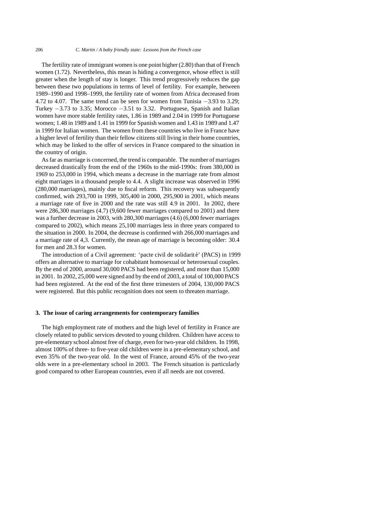The fertility rate of immigrant women is one point higher (2.80) than that of French women (1.72). Nevertheless, this mean is hiding a convergence, whose effect is still greater when the length of stay is longer. This trend progressively reduces the gap between these two populations in terms of level of fertility. For example, between 1989–1990 and 1998–1999, the fertility rate of women from Africa decreased from 4.72 to 4.07. The same trend can be seen for women from Tunisia *−*3.93 to 3.29; Turkey *−*3.73 to 3.35; Morocco *−*3.51 to 3.32. Portuguese, Spanish and Italian women have more stable fertility rates, 1.86 in 1989 and 2.04 in 1999 for Portuguese women; 1.48 in 1989 and 1.41 in 1999 for Spanish women and 1.43 in 1989 and 1.47 in 1999 for Italian women. The women from these countries who live in France have a higher level of fertility than their fellow citizens still living in their home countries, which may be linked to the offer of services in France compared to the situation in the country of origin.

As far as marriage is concerned, the trend is comparable. The number of marriages decreased drastically from the end of the 1960s to the mid-1990s: from 380,000 in 1969 to 253,000 in 1994, which means a decrease in the marriage rate from almost eight marriages in a thousand people to 4.4. A slight increase was observed in 1996 (280,000 marriages), mainly due to fiscal reform. This recovery was subsequently confirmed, with 293,700 in 1999, 305,400 in 2000, 295,900 in 2001, which means a marriage rate of five in 2000 and the rate was still 4.9 in 2001. In 2002, there were 286,300 marriages (4.7) (9,600 fewer marriages compared to 2001) and there was a further decrease in 2003, with 280,300 marriages (4.6) (6,000 fewer marriages compared to 2002), which means 25,100 marriages less in three years compared to the situation in 2000. In 2004, the decrease is confirmed with 266,000 marriages and a marriage rate of 4,3. Currently, the mean age of marriage is becoming older: 30.4 for men and 28.3 for women.

The introduction of a Civil agreement: 'pacte civil de solidarité' (PACS) in 1999 offers an alternative to marriage for cohabitant homosexual or heterosexual couples. By the end of 2000, around 30,000 PACS had been registered, and more than 15,000 in 2001. In 2002, 25,000 were signed and by the end of 2003, a total of 100,000 PACS had been registered. At the end of the first three trimesters of 2004, 130,000 PACS were registered. But this public recognition does not seem to threaten marriage.

#### **3. The issue of caring arrangements for contemporary families**

The high employment rate of mothers and the high level of fertility in France are closely related to public services devoted to young children. Children have access to pre-elementary school almost free of charge, even for two-year old children. In 1998, almost 100% of three- to five-year old children were in a pre-elementary school, and even 35% of the two-year old. In the west of France, around 45% of the two-year olds were in a pre-elementary school in 2003. The French situation is particularly good compared to other European countries, even if all needs are not covered.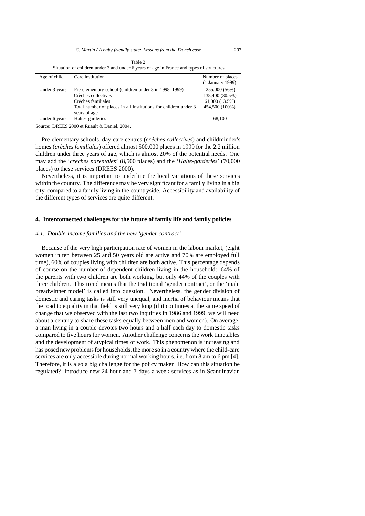|              |                  | Table 2                                                                                  |
|--------------|------------------|------------------------------------------------------------------------------------------|
|              |                  | Situation of children under 3 and under 6 years of age in France and types of structures |
| Age of child | Care institution | Number of places                                                                         |

| Age of child  | Care institution                                                                | Number of places |
|---------------|---------------------------------------------------------------------------------|------------------|
|               |                                                                                 | (1 January 1999) |
| Under 3 years | Pre-elementary school (children under 3 in 1998–1999)                           | 255,000 (56%)    |
|               | Crèches collectives                                                             | 138,400 (30.5%)  |
|               | Crèches familiales                                                              | 61,000 (13.5%)   |
|               | Total number of places in all institutions for children under 3<br>years of age | 454,500 (100%)   |
| Under 6 years | Haltes-garderies                                                                | 68,100           |
|               |                                                                                 |                  |

Source: DREES 2000 et Ruault & Daniel, 2004.

Pre-elementary schools, day-care centres (*crèches collectives*) and childminder's homes (*creches familiales `* ) offered almost 500,000 places in 1999 for the 2.2 million children under three years of age, which is almost 20% of the potential needs. One may add the '*creches parentales `* ' (8,500 places) and the '*Halte-garderies*' (70,000 places) to these services (DREES 2000).

Nevertheless, it is important to underline the local variations of these services within the country. The difference may be very significant for a family living in a big city, compared to a family living in the countryside. Accessibility and availability of the different types of services are quite different.

#### **4. Interconnected challenges for the future of family life and family policies**

#### *4.1. Double-income families and the new 'gender contract'*

Because of the very high participation rate of women in the labour market, (eight women in ten between 25 and 50 years old are active and 70% are employed full time), 60% of couples living with children are both active. This percentage depends of course on the number of dependent children living in the household: 64% of the parents with two children are both working, but only 44% of the couples with three children. This trend means that the traditional 'gender contract', or the 'male breadwinner model' is called into question. Nevertheless, the gender division of domestic and caring tasks is still very unequal, and inertia of behaviour means that the road to equality in that field is still very long (if it continues at the same speed of change that we observed with the last two inquiries in 1986 and 1999, we will need about a century to share these tasks equally between men and women). On average, a man living in a couple devotes two hours and a half each day to domestic tasks compared to five hours for women. Another challenge concerns the work timetables and the development of atypical times of work. This phenomenon is increasing and has posed new problems for households, the more so in a country where the child-care services are only accessible during normal working hours, i.e. from 8 am to 6 pm [4]. Therefore, it is also a big challenge for the policy maker. How can this situation be regulated? Introduce new 24 hour and 7 days a week services as in Scandinavian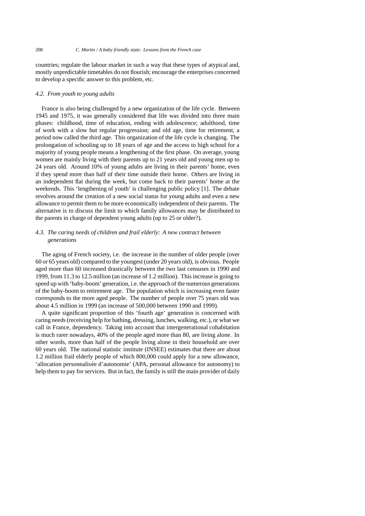countries; regulate the labour market in such a way that these types of atypical and, mostly unpredictable timetables do not flourish; encourage the enterprises concerned to develop a specific answer to this problem, etc.

#### *4.2. From youth to young adults*

France is also being challenged by a new organization of the life cycle. Between 1945 and 1975, it was generally considered that life was divided into three main phases: childhood, time of education, ending with adolescence; adulthood, time of work with a slow but regular progression; and old age, time for retirement, a period now called the third age. This organization of the life cycle is changing. The prolongation of schooling up to 18 years of age and the access to high school for a majority of young people means a lengthening of the first phase. On average, young women are mainly living with their parents up to 21 years old and young men up to 24 years old. Around 10% of young adults are living in their parents' home, even if they spend more than half of their time outside their home. Others are living in an independent flat during the week, but come back to their parents' home at the weekends. This 'lengthening of youth' is challenging public policy [1]. The debate revolves around the creation of a new social status for young adults and even a new allowance to permit them to be more economically independent of their parents. The alternative is to discuss the limit to which family allowances may be distributed to the parents in charge of dependent young adults (up to 25 or older?).

### *4.3. The caring needs of children and frail elderly: A new contract between generations*

The aging of French society, i.e. the increase in the number of older people (over 60 or 65 years old) compared to the youngest (under 20 years old), is obvious. People aged more than 60 increased drastically between the two last censuses in 1990 and 1999, from 11.3 to 12.5 million (an increase of 1.2 million). This increase is going to speed up with 'baby-boom' generation, i.e. the approach of the numerous generations of the baby-boom to retirement age. The population which is increasing even faster corresponds to the more aged people. The number of people over 75 years old was about 4.5 million in 1999 (an increase of 500,000 between 1990 and 1999).

A quite significant proportion of this 'fourth age' generation is concerned with caring needs (receiving help for bathing, dressing, lunches, walking, etc.), or what we call in France, dependency. Taking into account that intergenerational cohabitation is much rarer nowadays, 40% of the people aged more than 80, are living alone. In other words, more than half of the people living alone in their household are over 60 years old. The national statistic institute (INSEE) estimates that there are about 1.2 million frail elderly people of which 800,000 could apply for a new allowance, 'allocation personnalisée d'autonomie' (APA, personal allowance for autonomy) to help them to pay for services. But in fact, the family is still the main provider of daily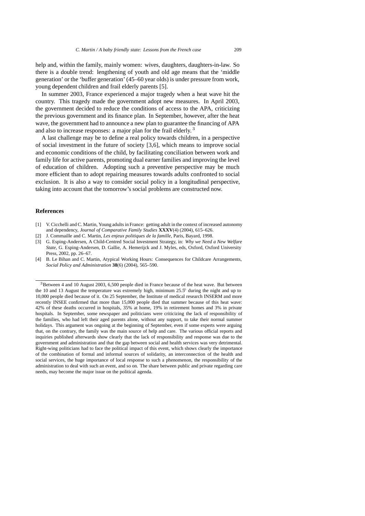help and, within the family, mainly women: wives, daughters, daughters-in-law. So there is a double trend: lengthening of youth and old age means that the 'middle generation' or the 'buffer generation' (45–60 year olds) is under pressure from work, young dependent children and frail elderly parents [5].

In summer 2003, France experienced a major tragedy when a heat wave hit the country. This tragedy made the government adopt new measures. In April 2003, the government decided to reduce the conditions of access to the APA, criticizing the previous government and its finance plan. In September, however, after the heat wave, the government had to announce a new plan to guarantee the financing of APA and also to increase responses: a major plan for the frail elderly. <sup>3</sup>

A last challenge may be to define a real policy towards children, in a perspective of social investment in the future of society [3,6], which means to improve social and economic conditions of the child, by facilitating conciliation between work and family life for active parents, promoting dual earner families and improving the level of education of children. Adopting such a preventive perspective may be much more efficient than to adopt repairing measures towards adults confronted to social exclusion. It is also a way to consider social policy in a longitudinal perspective, taking into account that the tomorrow's social problems are constructed now.

#### **References**

- [1] V. Cicchelli and C. Martin, Young adults in France: getting adult in the context of increased autonomy and dependency, *Journal of Comparative Family Studies* **XXXV**(4) (2004), 615–626.
- [2] J. Commaille and C. Martin, *Les enjeux politiques de la famille*, Paris, Bayard, 1998.
- [3] G. Esping-Andersen, A Child-Centred Social Investment Strategy, in: *Why we Need a New Welfare State*, G. Esping-Andersen, D. Gallie, A. Hemerijck and J. Myles, eds, Oxford, Oxford University Press, 2002, pp. 26–67.
- [4] B. Le Bihan and C. Martin, Atypical Working Hours: Consequences for Childcare Arrangements, *Social Policy and Administration* **38**(6) (2004), 565–590.

<sup>3</sup>Between 4 and 10 August 2003, 6,500 people died in France because of the heat wave. But between the 10 and 13 August the temperature was extremely high, minimum  $25.5°$  during the night and up to 10,000 people died because of it. On 25 September, the Institute of medical research INSERM and more recently INSEE confirmed that more than 15,000 people died that summer because of this heat wave: 42% of these deaths occurred in hospitals, 35% at home, 19% in retirement homes and 3% in private hospitals. In September, some newspaper and politicians were criticizing the lack of responsibility of the families, who had left their aged parents alone, without any support, to take their normal summer holidays. This argument was ongoing at the beginning of September, even if some experts were arguing that, on the contrary, the family was the main source of help and care. The various official reports and inquiries published afterwards show clearly that the lack of responsibility and response was due to the government and administration and that the gap between social and health services was very detrimental. Right-wing politicians had to face the political impact of this event, which shows clearly the importance of the combination of formal and informal sources of solidarity, an interconnection of the health and social services, the huge importance of local response to such a phenomenon, the responsibility of the administration to deal with such an event, and so on. The share between public and private regarding care needs, may become the major issue on the political agenda.